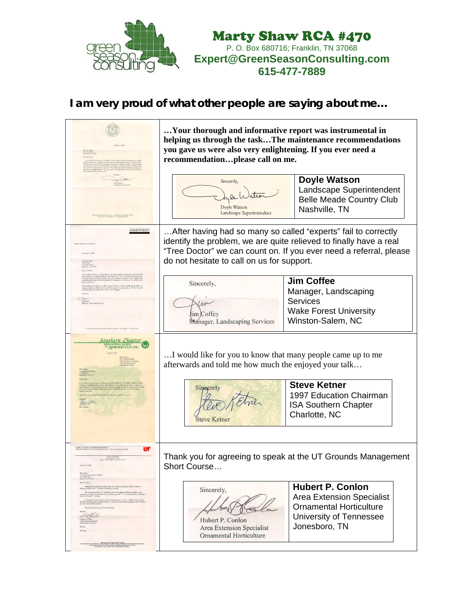

Marty Shaw RCA #470 P. O. Box 680716; Franklin, TN 37068 **Expert@GreenSeasonConsulting.com 615-477-7889** 

## **I am very proud of what other people are saying about me…**